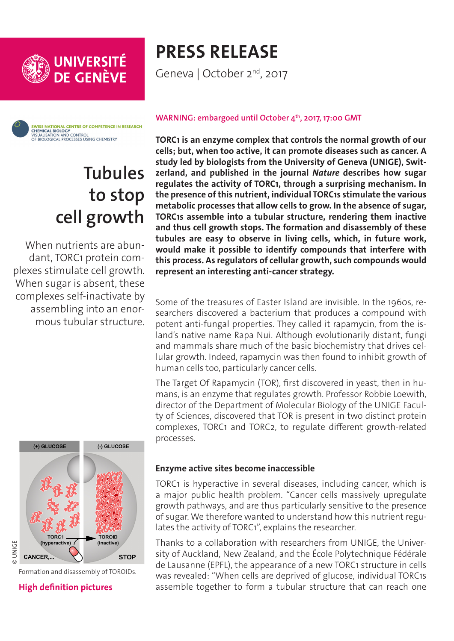



# **Tubules to stop cell growth**

When nutrients are abundant, TORC1 protein complexes stimulate cell growth. When sugar is absent, these complexes self-inactivate by assembling into an enormous tubular structure.



Formation and disassembly of TOROIDs.

#### **[High definition pictures](http://phototheque.unige.ch/documents/facets?newFacet=mot.cle.marc%3DCdP170820_Loewith&clearFacets=1)**

# **PRESS RELEASE**

Geneva | October 2<sup>nd</sup>, 2017

#### WARNING: embargoed until October 4<sup>th</sup>, 2017, 17:00 GMT

**TORC1 is an enzyme complex that controls the normal growth of our cells; but, when too active, it can promote diseases such as cancer. A study led by biologists from the University of Geneva (UNIGE), Switzerland, and published in the journal** *Nature* **describes how sugar regulates the activity of TORC1, through a surprising mechanism. In the presence of this nutrient, individual TORC1s stimulate the various metabolic processes that allow cells to grow. In the absence of sugar, TORC1s assemble into a tubular structure, rendering them inactive and thus cell growth stops. The formation and disassembly of these tubules are easy to observe in living cells, which, in future work, would make it possible to identify compounds that interfere with this process. As regulators of cellular growth, such compounds would represent an interesting anti-cancer strategy.**

Some of the treasures of Easter Island are invisible. In the 1960s, researchers discovered a bacterium that produces a compound with potent anti-fungal properties. They called it rapamycin, from the island's native name Rapa Nui. Although evolutionarily distant, fungi and mammals share much of the basic biochemistry that drives cellular growth. Indeed, rapamycin was then found to inhibit growth of human cells too, particularly cancer cells.

The Target Of Rapamycin (TOR), first discovered in yeast, then in humans, is an enzyme that regulates growth. Professor Robbie Loewith, director of the Department of Molecular Biology of the UNIGE Faculty of Sciences, discovered that TOR is present in two distinct protein complexes, TORC1 and TORC2, to regulate different growth-related processes.

### **Enzyme active sites become inaccessible**

TORC1 is hyperactive in several diseases, including cancer, which is a major public health problem. "Cancer cells massively upregulate growth pathways, and are thus particularly sensitive to the presence of sugar. We therefore wanted to understand how this nutrient regulates the activity of TORC1", explains the researcher.

Thanks to a collaboration with researchers from UNIGE, the University of Auckland, New Zealand, and the École Polytechnique Fédérale de Lausanne (EPFL), the appearance of a new TORC1 structure in cells was revealed: "When cells are deprived of glucose, individual TORC1s assemble together to form a tubular structure that can reach one